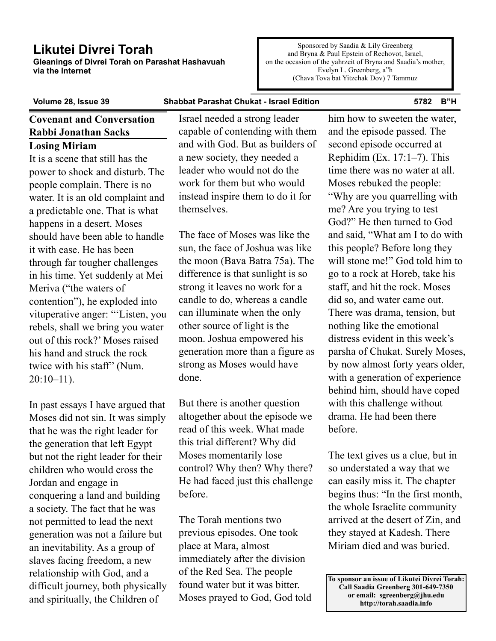# **Likutei Divrei Torah**

**Gleanings of Divrei Torah on Parashat Hashavuah via the Internet**

Sponsored by Saadia & Lily Greenberg and Bryna & Paul Epstein of Rechovot, Israel, on the occasion of the yahrzeit of Bryna and Saadia's mother, Evelyn L. Greenberg, a"h (Chava Tova bat Yitzchak Dov) 7 Tammuz

#### **Volume 28, Issue 39 Shabbat Parashat Chukat - Israel Edition 5782 B"H**

## **Covenant and Conversation Rabbi Jonathan Sacks**

### **Losing Miriam**

It is a scene that still has the power to shock and disturb. The people complain. There is no water. It is an old complaint and a predictable one. That is what happens in a desert. Moses should have been able to handle it with ease. He has been through far tougher challenges in his time. Yet suddenly at Mei Meriva ("the waters of contention"), he exploded into vituperative anger: "'Listen, you rebels, shall we bring you water out of this rock?' Moses raised his hand and struck the rock twice with his staff" (Num. 20:10–11).

In past essays I have argued that Moses did not sin. It was simply that he was the right leader for the generation that left Egypt but not the right leader for their children who would cross the Jordan and engage in conquering a land and building a society. The fact that he was not permitted to lead the next generation was not a failure but an inevitability. As a group of slaves facing freedom, a new relationship with God, and a difficult journey, both physically and spiritually, the Children of

Israel needed a strong leader capable of contending with them and with God. But as builders of a new society, they needed a leader who would not do the work for them but who would instead inspire them to do it for themselves.

The face of Moses was like the sun, the face of Joshua was like the moon (Bava Batra 75a). The difference is that sunlight is so strong it leaves no work for a candle to do, whereas a candle can illuminate when the only other source of light is the moon. Joshua empowered his generation more than a figure as strong as Moses would have done.

But there is another question altogether about the episode we read of this week. What made this trial different? Why did Moses momentarily lose control? Why then? Why there? He had faced just this challenge before.

The Torah mentions two previous episodes. One took place at Mara, almost immediately after the division of the Red Sea. The people found water but it was bitter. Moses prayed to God, God told

him how to sweeten the water, and the episode passed. The second episode occurred at Rephidim (Ex. 17:1–7). This time there was no water at all. Moses rebuked the people: "Why are you quarrelling with me? Are you trying to test God?" He then turned to God and said, "What am I to do with this people? Before long they will stone me!" God told him to go to a rock at Horeb, take his staff, and hit the rock. Moses did so, and water came out. There was drama, tension, but nothing like the emotional distress evident in this week's parsha of Chukat. Surely Moses, by now almost forty years older, with a generation of experience behind him, should have coped with this challenge without drama. He had been there before.

The text gives us a clue, but in so understated a way that we can easily miss it. The chapter begins thus: "In the first month, the whole Israelite community arrived at the desert of Zin, and they stayed at Kadesh. There Miriam died and was buried.

**To sponsor an issue of Likutei Divrei Torah: Call Saadia Greenberg 301-649-7350 or email: sgreenberg@jhu.edu http://torah.saadia.info**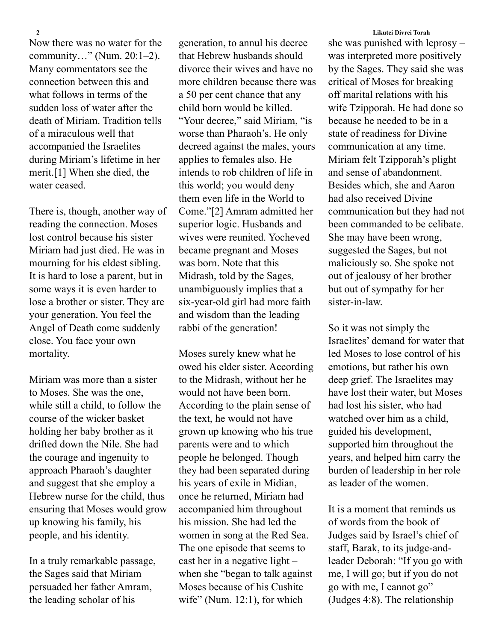Now there was no water for the community…" (Num. 20:1–2). Many commentators see the connection between this and what follows in terms of the sudden loss of water after the death of Miriam. Tradition tells of a miraculous well that accompanied the Israelites during Miriam's lifetime in her merit.[1] When she died, the water ceased.

There is, though, another way of reading the connection. Moses lost control because his sister Miriam had just died. He was in mourning for his eldest sibling. It is hard to lose a parent, but in some ways it is even harder to lose a brother or sister. They are your generation. You feel the Angel of Death come suddenly close. You face your own mortality.

Miriam was more than a sister to Moses. She was the one, while still a child, to follow the course of the wicker basket holding her baby brother as it drifted down the Nile. She had the courage and ingenuity to approach Pharaoh's daughter and suggest that she employ a Hebrew nurse for the child, thus ensuring that Moses would grow up knowing his family, his people, and his identity.

In a truly remarkable passage, the Sages said that Miriam persuaded her father Amram, the leading scholar of his

generation, to annul his decree that Hebrew husbands should divorce their wives and have no more children because there was a 50 per cent chance that any child born would be killed. "Your decree," said Miriam, "is worse than Pharaoh's. He only decreed against the males, yours applies to females also. He intends to rob children of life in this world; you would deny them even life in the World to Come."[2] Amram admitted her superior logic. Husbands and wives were reunited. Yocheved became pregnant and Moses was born. Note that this Midrash, told by the Sages, unambiguously implies that a six-year-old girl had more faith and wisdom than the leading rabbi of the generation!

Moses surely knew what he owed his elder sister. According to the Midrash, without her he would not have been born. According to the plain sense of the text, he would not have grown up knowing who his true parents were and to which people he belonged. Though they had been separated during his years of exile in Midian, once he returned, Miriam had accompanied him throughout his mission. She had led the women in song at the Red Sea. The one episode that seems to cast her in a negative light – when she "began to talk against Moses because of his Cushite wife" (Num. 12:1), for which

**2 Likutei Divrei Torah** she was punished with leprosy – was interpreted more positively by the Sages. They said she was critical of Moses for breaking off marital relations with his wife Tzipporah. He had done so because he needed to be in a state of readiness for Divine communication at any time. Miriam felt Tzipporah's plight and sense of abandonment. Besides which, she and Aaron had also received Divine communication but they had not been commanded to be celibate. She may have been wrong, suggested the Sages, but not maliciously so. She spoke not out of jealousy of her brother but out of sympathy for her sister-in-law.

> So it was not simply the Israelites' demand for water that led Moses to lose control of his emotions, but rather his own deep grief. The Israelites may have lost their water, but Moses had lost his sister, who had watched over him as a child, guided his development, supported him throughout the years, and helped him carry the burden of leadership in her role as leader of the women.

> It is a moment that reminds us of words from the book of Judges said by Israel's chief of staff, Barak, to its judge-andleader Deborah: "If you go with me, I will go; but if you do not go with me, I cannot go" (Judges 4:8). The relationship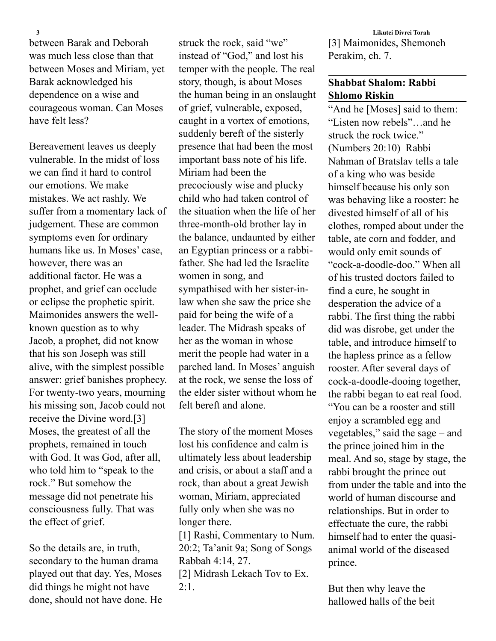between Barak and Deborah was much less close than that between Moses and Miriam, yet Barak acknowledged his dependence on a wise and courageous woman. Can Moses have felt less?

Bereavement leaves us deeply vulnerable. In the midst of loss we can find it hard to control our emotions. We make mistakes. We act rashly. We suffer from a momentary lack of judgement. These are common symptoms even for ordinary humans like us. In Moses' case, however, there was an additional factor. He was a prophet, and grief can occlude or eclipse the prophetic spirit. Maimonides answers the wellknown question as to why Jacob, a prophet, did not know that his son Joseph was still alive, with the simplest possible answer: grief banishes prophecy. For twenty-two years, mourning his missing son, Jacob could not receive the Divine word.[3] Moses, the greatest of all the prophets, remained in touch with God. It was God, after all, who told him to "speak to the rock." But somehow the message did not penetrate his consciousness fully. That was the effect of grief.

So the details are, in truth, secondary to the human drama played out that day. Yes, Moses did things he might not have done, should not have done. He

struck the rock, said "we" instead of "God," and lost his temper with the people. The real story, though, is about Moses the human being in an onslaught of grief, vulnerable, exposed, caught in a vortex of emotions, suddenly bereft of the sisterly presence that had been the most important bass note of his life. Miriam had been the precociously wise and plucky child who had taken control of the situation when the life of her three-month-old brother lay in the balance, undaunted by either an Egyptian princess or a rabbifather. She had led the Israelite women in song, and sympathised with her sister-inlaw when she saw the price she paid for being the wife of a leader. The Midrash speaks of her as the woman in whose merit the people had water in a parched land. In Moses' anguish at the rock, we sense the loss of the elder sister without whom he felt bereft and alone.

The story of the moment Moses lost his confidence and calm is ultimately less about leadership and crisis, or about a staff and a rock, than about a great Jewish woman, Miriam, appreciated fully only when she was no longer there.

[1] Rashi, Commentary to Num. 20:2; Ta'anit 9a; Song of Songs Rabbah 4:14, 27.

[2] Midrash Lekach Tov to Ex.  $2:1$ 

**3 Likutei Divrei Torah** [3] Maimonides, Shemoneh Perakim, ch. 7.

## **Shabbat Shalom: Rabbi Shlomo Riskin**

"And he [Moses] said to them: "Listen now rebels"…and he struck the rock twice." (Numbers 20:10) Rabbi Nahman of Bratslav tells a tale of a king who was beside himself because his only son was behaving like a rooster: he divested himself of all of his clothes, romped about under the table, ate corn and fodder, and would only emit sounds of "cock-a-doodle-doo." When all of his trusted doctors failed to find a cure, he sought in desperation the advice of a rabbi. The first thing the rabbi did was disrobe, get under the table, and introduce himself to the hapless prince as a fellow rooster. After several days of cock-a-doodle-dooing together, the rabbi began to eat real food. "You can be a rooster and still enjoy a scrambled egg and vegetables," said the sage – and the prince joined him in the meal. And so, stage by stage, the rabbi brought the prince out from under the table and into the world of human discourse and relationships. But in order to effectuate the cure, the rabbi himself had to enter the quasianimal world of the diseased prince.

But then why leave the hallowed halls of the beit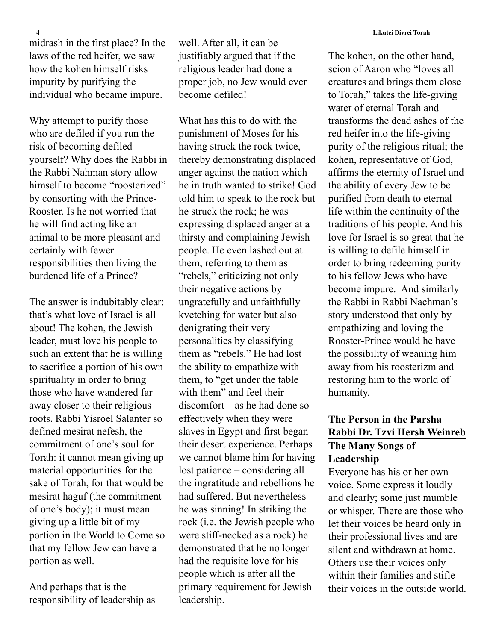midrash in the first place? In the laws of the red heifer, we saw how the kohen himself risks impurity by purifying the individual who became impure.

Why attempt to purify those who are defiled if you run the risk of becoming defiled yourself? Why does the Rabbi in the Rabbi Nahman story allow himself to become "roosterized" by consorting with the Prince-Rooster. Is he not worried that he will find acting like an animal to be more pleasant and certainly with fewer responsibilities then living the burdened life of a Prince?

The answer is indubitably clear: that's what love of Israel is all about! The kohen, the Jewish leader, must love his people to such an extent that he is willing to sacrifice a portion of his own spirituality in order to bring those who have wandered far away closer to their religious roots. Rabbi Yisroel Salanter so defined mesirat nefesh, the commitment of one's soul for Torah: it cannot mean giving up material opportunities for the sake of Torah, for that would be mesirat haguf (the commitment of one's body); it must mean giving up a little bit of my portion in the World to Come so that my fellow Jew can have a portion as well.

And perhaps that is the responsibility of leadership as

well. After all, it can be justifiably argued that if the religious leader had done a proper job, no Jew would ever become defiled!

What has this to do with the punishment of Moses for his having struck the rock twice, thereby demonstrating displaced anger against the nation which he in truth wanted to strike! God told him to speak to the rock but he struck the rock; he was expressing displaced anger at a thirsty and complaining Jewish people. He even lashed out at them, referring to them as "rebels," criticizing not only their negative actions by ungratefully and unfaithfully kvetching for water but also denigrating their very personalities by classifying them as "rebels." He had lost the ability to empathize with them, to "get under the table with them" and feel their discomfort – as he had done so effectively when they were slaves in Egypt and first began their desert experience. Perhaps we cannot blame him for having lost patience – considering all the ingratitude and rebellions he had suffered. But nevertheless he was sinning! In striking the rock (i.e. the Jewish people who were stiff-necked as a rock) he demonstrated that he no longer had the requisite love for his people which is after all the primary requirement for Jewish leadership.

The kohen, on the other hand, scion of Aaron who "loves all creatures and brings them close to Torah," takes the life-giving water of eternal Torah and transforms the dead ashes of the red heifer into the life-giving purity of the religious ritual; the kohen, representative of God, affirms the eternity of Israel and the ability of every Jew to be purified from death to eternal life within the continuity of the traditions of his people. And his love for Israel is so great that he is willing to defile himself in order to bring redeeming purity to his fellow Jews who have become impure. And similarly the Rabbi in Rabbi Nachman's story understood that only by empathizing and loving the Rooster-Prince would he have the possibility of weaning him away from his roosterizm and restoring him to the world of humanity.

## **The Person in the Parsha Rabbi Dr. Tzvi Hersh Weinreb The Many Songs of Leadership**

Everyone has his or her own voice. Some express it loudly and clearly; some just mumble or whisper. There are those who let their voices be heard only in their professional lives and are silent and withdrawn at home. Others use their voices only within their families and stifle their voices in the outside world.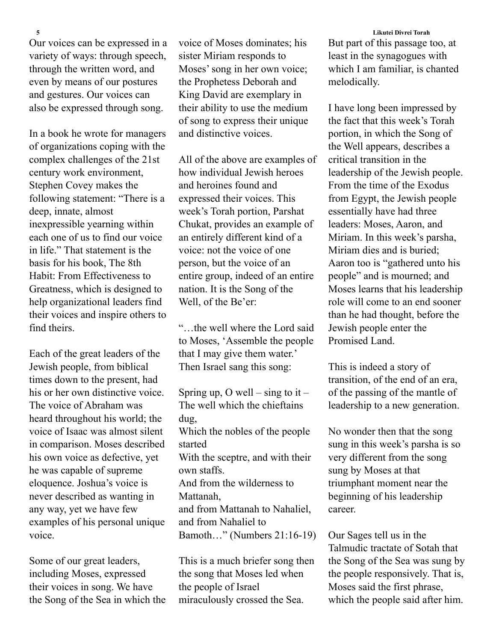Our voices can be expressed in a variety of ways: through speech, through the written word, and even by means of our postures and gestures. Our voices can also be expressed through song.

In a book he wrote for managers of organizations coping with the complex challenges of the 21st century work environment, Stephen Covey makes the following statement: "There is a deep, innate, almost inexpressible yearning within each one of us to find our voice in life." That statement is the basis for his book, The 8th Habit: From Effectiveness to Greatness, which is designed to help organizational leaders find their voices and inspire others to find theirs.

Each of the great leaders of the Jewish people, from biblical times down to the present, had his or her own distinctive voice. The voice of Abraham was heard throughout his world; the voice of Isaac was almost silent in comparison. Moses described his own voice as defective, yet he was capable of supreme eloquence. Joshua's voice is never described as wanting in any way, yet we have few examples of his personal unique voice.

Some of our great leaders, including Moses, expressed their voices in song. We have the Song of the Sea in which the

voice of Moses dominates; his sister Miriam responds to Moses' song in her own voice; the Prophetess Deborah and King David are exemplary in their ability to use the medium of song to express their unique and distinctive voices.

All of the above are examples of how individual Jewish heroes and heroines found and expressed their voices. This week's Torah portion, Parshat Chukat, provides an example of an entirely different kind of a voice: not the voice of one person, but the voice of an entire group, indeed of an entire nation. It is the Song of the Well, of the Be'er:

"…the well where the Lord said to Moses, 'Assemble the people that I may give them water.' Then Israel sang this song:

Spring up, O well – sing to it – The well which the chieftains dug, Which the nobles of the people started With the sceptre, and with their own staffs. And from the wilderness to Mattanah, and from Mattanah to Nahaliel, and from Nahaliel to Bamoth…" (Numbers 21:16-19)

This is a much briefer song then the song that Moses led when the people of Israel miraculously crossed the Sea.

**5 Likutei Divrei Torah** But part of this passage too, at least in the synagogues with which I am familiar, is chanted melodically.

I have long been impressed by the fact that this week's Torah portion, in which the Song of the Well appears, describes a critical transition in the leadership of the Jewish people. From the time of the Exodus from Egypt, the Jewish people essentially have had three leaders: Moses, Aaron, and Miriam. In this week's parsha, Miriam dies and is buried; Aaron too is "gathered unto his people" and is mourned; and Moses learns that his leadership role will come to an end sooner than he had thought, before the Jewish people enter the Promised Land.

This is indeed a story of transition, of the end of an era, of the passing of the mantle of leadership to a new generation.

No wonder then that the song sung in this week's parsha is so very different from the song sung by Moses at that triumphant moment near the beginning of his leadership career.

Our Sages tell us in the Talmudic tractate of Sotah that the Song of the Sea was sung by the people responsively. That is, Moses said the first phrase, which the people said after him.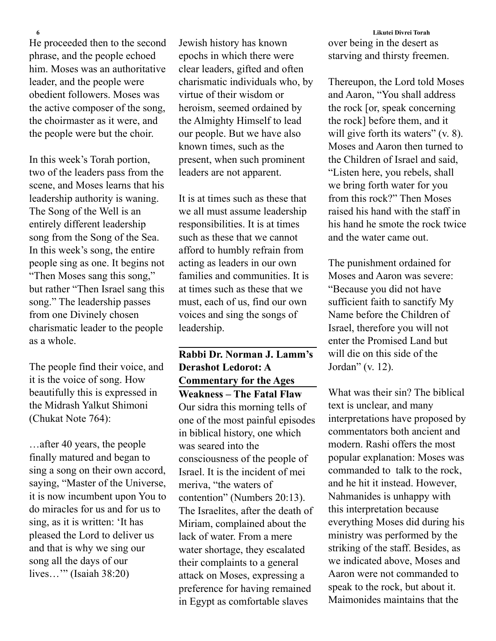He proceeded then to the second phrase, and the people echoed him. Moses was an authoritative leader, and the people were obedient followers. Moses was the active composer of the song, the choirmaster as it were, and the people were but the choir.

In this week's Torah portion, two of the leaders pass from the scene, and Moses learns that his leadership authority is waning. The Song of the Well is an entirely different leadership song from the Song of the Sea. In this week's song, the entire people sing as one. It begins not "Then Moses sang this song," but rather "Then Israel sang this song." The leadership passes from one Divinely chosen charismatic leader to the people as a whole.

The people find their voice, and it is the voice of song. How beautifully this is expressed in the Midrash Yalkut Shimoni (Chukat Note 764):

…after 40 years, the people finally matured and began to sing a song on their own accord, saying, "Master of the Universe, it is now incumbent upon You to do miracles for us and for us to sing, as it is written: 'It has pleased the Lord to deliver us and that is why we sing our song all the days of our lives…'" (Isaiah 38:20)

Jewish history has known epochs in which there were clear leaders, gifted and often charismatic individuals who, by virtue of their wisdom or heroism, seemed ordained by the Almighty Himself to lead our people. But we have also known times, such as the present, when such prominent leaders are not apparent.

It is at times such as these that we all must assume leadership responsibilities. It is at times such as these that we cannot afford to humbly refrain from acting as leaders in our own families and communities. It is at times such as these that we must, each of us, find our own voices and sing the songs of leadership.

**Rabbi Dr. Norman J. Lamm's Derashot Ledorot: A Commentary for the Ages Weakness – The Fatal Flaw** Our sidra this morning tells of one of the most painful episodes in biblical history, one which was seared into the consciousness of the people of Israel. It is the incident of mei meriva, "the waters of contention" (Numbers 20:13). The Israelites, after the death of Miriam, complained about the lack of water. From a mere water shortage, they escalated their complaints to a general attack on Moses, expressing a preference for having remained in Egypt as comfortable slaves

**6 Likutei Divrei Torah** over being in the desert as starving and thirsty freemen.

> Thereupon, the Lord told Moses and Aaron, "You shall address the rock [or, speak concerning the rock] before them, and it will give forth its waters" (v. 8). Moses and Aaron then turned to the Children of Israel and said, "Listen here, you rebels, shall we bring forth water for you from this rock?" Then Moses raised his hand with the staff in his hand he smote the rock twice and the water came out.

The punishment ordained for Moses and Aaron was severe: "Because you did not have sufficient faith to sanctify My Name before the Children of Israel, therefore you will not enter the Promised Land but will die on this side of the Jordan" (v. 12).

What was their sin? The biblical text is unclear, and many interpretations have proposed by commentators both ancient and modern. Rashi offers the most popular explanation: Moses was commanded to talk to the rock, and he hit it instead. However, Nahmanides is unhappy with this interpretation because everything Moses did during his ministry was performed by the striking of the staff. Besides, as we indicated above, Moses and Aaron were not commanded to speak to the rock, but about it. Maimonides maintains that the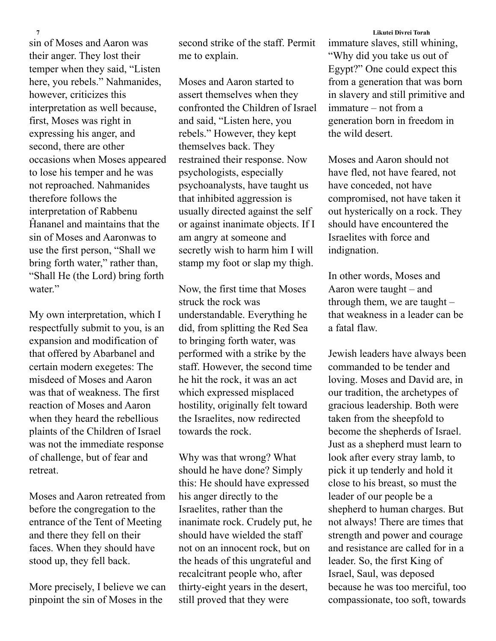sin of Moses and Aaron was their anger. They lost their temper when they said, "Listen here, you rebels." Nahmanides, however, criticizes this interpretation as well because, first, Moses was right in expressing his anger, and second, there are other occasions when Moses appeared to lose his temper and he was not reproached. Nahmanides therefore follows the interpretation of Rabbenu Ĥananel and maintains that the sin of Moses and Aaronwas to use the first person, "Shall we bring forth water," rather than, "Shall He (the Lord) bring forth water."

My own interpretation, which I respectfully submit to you, is an expansion and modification of that offered by Abarbanel and certain modern exegetes: The misdeed of Moses and Aaron was that of weakness. The first reaction of Moses and Aaron when they heard the rebellious plaints of the Children of Israel was not the immediate response of challenge, but of fear and retreat.

Moses and Aaron retreated from before the congregation to the entrance of the Tent of Meeting and there they fell on their faces. When they should have stood up, they fell back.

More precisely, I believe we can pinpoint the sin of Moses in the

second strike of the staff. Permit me to explain.

Moses and Aaron started to assert themselves when they confronted the Children of Israel and said, "Listen here, you rebels." However, they kept themselves back. They restrained their response. Now psychologists, especially psychoanalysts, have taught us that inhibited aggression is usually directed against the self or against inanimate objects. If I am angry at someone and secretly wish to harm him I will stamp my foot or slap my thigh.

Now, the first time that Moses struck the rock was understandable. Everything he did, from splitting the Red Sea to bringing forth water, was performed with a strike by the staff. However, the second time he hit the rock, it was an act which expressed misplaced hostility, originally felt toward the Israelites, now redirected towards the rock.

Why was that wrong? What should he have done? Simply this: He should have expressed his anger directly to the Israelites, rather than the inanimate rock. Crudely put, he should have wielded the staff not on an innocent rock, but on the heads of this ungrateful and recalcitrant people who, after thirty-eight years in the desert, still proved that they were

**7 Likutei Divrei Torah** immature slaves, still whining, "Why did you take us out of Egypt?" One could expect this from a generation that was born in slavery and still primitive and immature – not from a generation born in freedom in the wild desert.

Moses and Aaron should not have fled, not have feared, not have conceded, not have compromised, not have taken it out hysterically on a rock. They should have encountered the Israelites with force and indignation.

In other words, Moses and Aaron were taught – and through them, we are taught – that weakness in a leader can be a fatal flaw.

Jewish leaders have always been commanded to be tender and loving. Moses and David are, in our tradition, the archetypes of gracious leadership. Both were taken from the sheepfold to become the shepherds of Israel. Just as a shepherd must learn to look after every stray lamb, to pick it up tenderly and hold it close to his breast, so must the leader of our people be a shepherd to human charges. But not always! There are times that strength and power and courage and resistance are called for in a leader. So, the first King of Israel, Saul, was deposed because he was too merciful, too compassionate, too soft, towards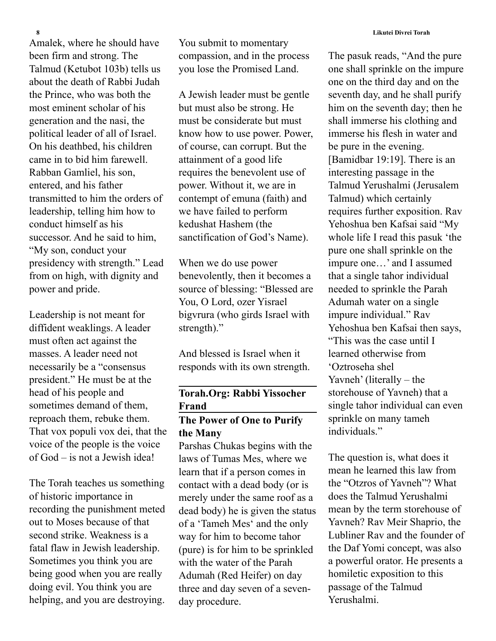Amalek, where he should have been firm and strong. The Talmud (Ketubot 103b) tells us about the death of Rabbi Judah the Prince, who was both the most eminent scholar of his generation and the nasi, the political leader of all of Israel. On his deathbed, his children came in to bid him farewell. Rabban Gamliel, his son, entered, and his father transmitted to him the orders of leadership, telling him how to conduct himself as his successor. And he said to him, "My son, conduct your presidency with strength." Lead from on high, with dignity and power and pride.

Leadership is not meant for diffident weaklings. A leader must often act against the masses. A leader need not necessarily be a "consensus president." He must be at the head of his people and sometimes demand of them, reproach them, rebuke them. That vox populi vox dei, that the voice of the people is the voice of God – is not a Jewish idea!

The Torah teaches us something of historic importance in recording the punishment meted out to Moses because of that second strike. Weakness is a fatal flaw in Jewish leadership. Sometimes you think you are being good when you are really doing evil. You think you are helping, and you are destroying.

You submit to momentary compassion, and in the process you lose the Promised Land.

A Jewish leader must be gentle but must also be strong. He must be considerate but must know how to use power. Power, of course, can corrupt. But the attainment of a good life requires the benevolent use of power. Without it, we are in contempt of emuna (faith) and we have failed to perform kedushat Hashem (the sanctification of God's Name).

When we do use power benevolently, then it becomes a source of blessing: "Blessed are You, O Lord, ozer Yisrael bigvrura (who girds Israel with strength)."

And blessed is Israel when it responds with its own strength.

## **Torah.Org: Rabbi Yissocher Frand**

## **The Power of One to Purify the Many**

Parshas Chukas begins with the laws of Tumas Mes, where we learn that if a person comes in contact with a dead body (or is merely under the same roof as a dead body) he is given the status of a 'Tameh Mes' and the only way for him to become tahor (pure) is for him to be sprinkled with the water of the Parah Adumah (Red Heifer) on day three and day seven of a sevenday procedure.

The pasuk reads, "And the pure one shall sprinkle on the impure one on the third day and on the seventh day, and he shall purify him on the seventh day; then he shall immerse his clothing and immerse his flesh in water and be pure in the evening. [Bamidbar 19:19]. There is an interesting passage in the Talmud Yerushalmi (Jerusalem Talmud) which certainly requires further exposition. Rav Yehoshua ben Kafsai said "My whole life I read this pasuk 'the pure one shall sprinkle on the impure one…' and I assumed that a single tahor individual needed to sprinkle the Parah Adumah water on a single impure individual." Rav Yehoshua ben Kafsai then says, "This was the case until I learned otherwise from 'Oztroseha shel Yavneh' (literally – the storehouse of Yavneh) that a single tahor individual can even sprinkle on many tameh individuals<sup>"</sup>

The question is, what does it mean he learned this law from the "Otzros of Yavneh"? What does the Talmud Yerushalmi mean by the term storehouse of Yavneh? Rav Meir Shaprio, the Lubliner Rav and the founder of the Daf Yomi concept, was also a powerful orator. He presents a homiletic exposition to this passage of the Talmud Yerushalmi.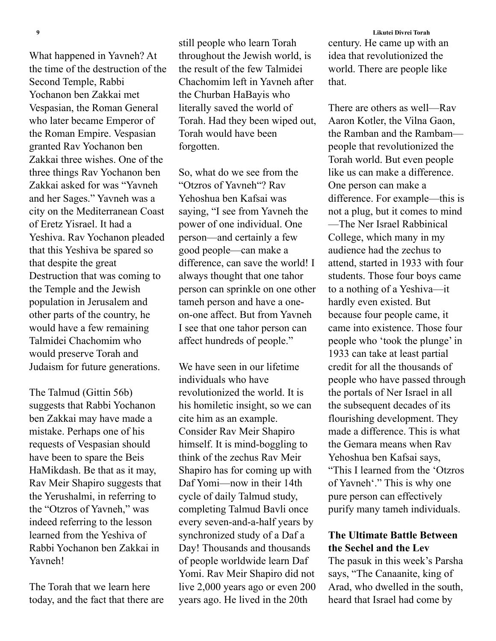What happened in Yavneh? At the time of the destruction of the Second Temple, Rabbi Yochanon ben Zakkai met Vespasian, the Roman General who later became Emperor of the Roman Empire. Vespasian granted Rav Yochanon ben Zakkai three wishes. One of the three things Rav Yochanon ben Zakkai asked for was "Yavneh and her Sages." Yavneh was a city on the Mediterranean Coast of Eretz Yisrael. It had a Yeshiva. Rav Yochanon pleaded that this Yeshiva be spared so that despite the great Destruction that was coming to the Temple and the Jewish population in Jerusalem and other parts of the country, he would have a few remaining Talmidei Chachomim who would preserve Torah and Judaism for future generations.

The Talmud (Gittin 56b) suggests that Rabbi Yochanon ben Zakkai may have made a mistake. Perhaps one of his requests of Vespasian should have been to spare the Beis HaMikdash. Be that as it may, Rav Meir Shapiro suggests that the Yerushalmi, in referring to the "Otzros of Yavneh," was indeed referring to the lesson learned from the Yeshiva of Rabbi Yochanon ben Zakkai in Yavneh!

The Torah that we learn here today, and the fact that there are still people who learn Torah throughout the Jewish world, is the result of the few Talmidei Chachomim left in Yavneh after the Churban HaBayis who literally saved the world of Torah. Had they been wiped out, Torah would have been forgotten.

So, what do we see from the "Otzros of Yavneh"? Rav Yehoshua ben Kafsai was saying, "I see from Yavneh the power of one individual. One person—and certainly a few good people—can make a difference, can save the world! I always thought that one tahor person can sprinkle on one other tameh person and have a oneon-one affect. But from Yavneh I see that one tahor person can affect hundreds of people."

We have seen in our lifetime individuals who have revolutionized the world. It is his homiletic insight, so we can cite him as an example. Consider Rav Meir Shapiro himself. It is mind-boggling to think of the zechus Rav Meir Shapiro has for coming up with Daf Yomi—now in their 14th cycle of daily Talmud study, completing Talmud Bavli once every seven-and-a-half years by synchronized study of a Daf a Day! Thousands and thousands of people worldwide learn Daf Yomi. Rav Meir Shapiro did not live 2,000 years ago or even 200 years ago. He lived in the 20th

**9 Likutei Divrei Torah** century. He came up with an idea that revolutionized the world. There are people like that.

> There are others as well—Rav Aaron Kotler, the Vilna Gaon, the Ramban and the Rambam people that revolutionized the Torah world. But even people like us can make a difference. One person can make a difference. For example—this is not a plug, but it comes to mind —The Ner Israel Rabbinical College, which many in my audience had the zechus to attend, started in 1933 with four students. Those four boys came to a nothing of a Yeshiva—it hardly even existed. But because four people came, it came into existence. Those four people who 'took the plunge' in 1933 can take at least partial credit for all the thousands of people who have passed through the portals of Ner Israel in all the subsequent decades of its flourishing development. They made a difference. This is what the Gemara means when Rav Yehoshua ben Kafsai says, "This I learned from the 'Otzros of Yavneh'." This is why one pure person can effectively purify many tameh individuals.

## **The Ultimate Battle Between the Sechel and the Lev**

The pasuk in this week's Parsha says, "The Canaanite, king of Arad, who dwelled in the south, heard that Israel had come by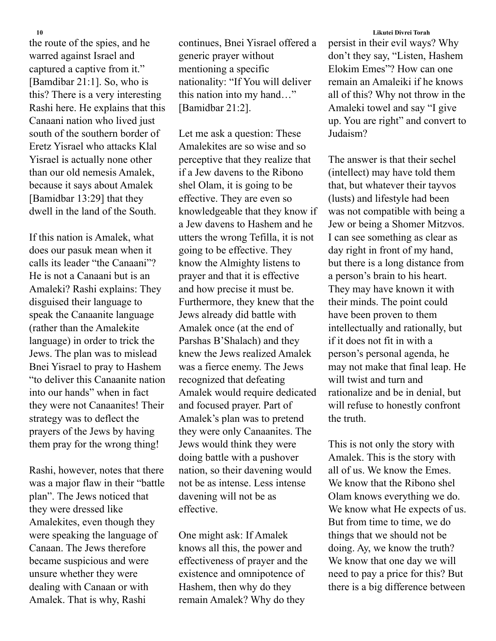the route of the spies, and he warred against Israel and captured a captive from it." [Bamdibar 21:1]. So, who is this? There is a very interesting Rashi here. He explains that this Canaani nation who lived just south of the southern border of Eretz Yisrael who attacks Klal Yisrael is actually none other than our old nemesis Amalek, because it says about Amalek [Bamidbar 13:29] that they dwell in the land of the South.

If this nation is Amalek, what does our pasuk mean when it calls its leader "the Canaani"? He is not a Canaani but is an Amaleki? Rashi explains: They disguised their language to speak the Canaanite language (rather than the Amalekite language) in order to trick the Jews. The plan was to mislead Bnei Yisrael to pray to Hashem "to deliver this Canaanite nation into our hands" when in fact they were not Canaanites! Their strategy was to deflect the prayers of the Jews by having them pray for the wrong thing!

Rashi, however, notes that there was a major flaw in their "battle plan". The Jews noticed that they were dressed like Amalekites, even though they were speaking the language of Canaan. The Jews therefore became suspicious and were unsure whether they were dealing with Canaan or with Amalek. That is why, Rashi

continues, Bnei Yisrael offered a generic prayer without mentioning a specific nationality: "If You will deliver this nation into my hand…" [Bamidbar 21:2].

Let me ask a question: These Amalekites are so wise and so perceptive that they realize that if a Jew davens to the Ribono shel Olam, it is going to be effective. They are even so knowledgeable that they know if a Jew davens to Hashem and he utters the wrong Tefilla, it is not going to be effective. They know the Almighty listens to prayer and that it is effective and how precise it must be. Furthermore, they knew that the Jews already did battle with Amalek once (at the end of Parshas B'Shalach) and they knew the Jews realized Amalek was a fierce enemy. The Jews recognized that defeating Amalek would require dedicated and focused prayer. Part of Amalek's plan was to pretend they were only Canaanites. The Jews would think they were doing battle with a pushover nation, so their davening would not be as intense. Less intense davening will not be as effective.

One might ask: If Amalek knows all this, the power and effectiveness of prayer and the existence and omnipotence of Hashem, then why do they remain Amalek? Why do they

**10 Likutei Divrei Torah** persist in their evil ways? Why don't they say, "Listen, Hashem Elokim Emes"? How can one remain an Amaleiki if he knows all of this? Why not throw in the Amaleki towel and say "I give up. You are right" and convert to Judaism?

> The answer is that their sechel (intellect) may have told them that, but whatever their tayvos (lusts) and lifestyle had been was not compatible with being a Jew or being a Shomer Mitzvos. I can see something as clear as day right in front of my hand, but there is a long distance from a person's brain to his heart. They may have known it with their minds. The point could have been proven to them intellectually and rationally, but if it does not fit in with a person's personal agenda, he may not make that final leap. He will twist and turn and rationalize and be in denial, but will refuse to honestly confront the truth.

> This is not only the story with Amalek. This is the story with all of us. We know the Emes. We know that the Ribono shel Olam knows everything we do. We know what He expects of us. But from time to time, we do things that we should not be doing. Ay, we know the truth? We know that one day we will need to pay a price for this? But there is a big difference between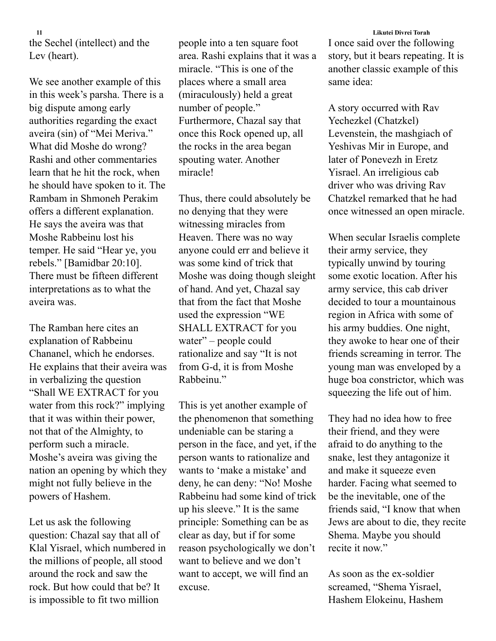# the Sechel (intellect) and the Lev (heart).

We see another example of this in this week's parsha. There is a big dispute among early authorities regarding the exact aveira (sin) of "Mei Meriva." What did Moshe do wrong? Rashi and other commentaries learn that he hit the rock, when he should have spoken to it. The Rambam in Shmoneh Perakim offers a different explanation. He says the aveira was that Moshe Rabbeinu lost his temper. He said "Hear ye, you rebels." [Bamidbar 20:10]. There must be fifteen different interpretations as to what the aveira was.

The Ramban here cites an explanation of Rabbeinu Chananel, which he endorses. He explains that their aveira was in verbalizing the question "Shall WE EXTRACT for you water from this rock?" implying that it was within their power, not that of the Almighty, to perform such a miracle. Moshe's aveira was giving the nation an opening by which they might not fully believe in the powers of Hashem.

Let us ask the following question: Chazal say that all of Klal Yisrael, which numbered in the millions of people, all stood around the rock and saw the rock. But how could that be? It is impossible to fit two million

people into a ten square foot area. Rashi explains that it was a miracle. "This is one of the places where a small area (miraculously) held a great number of people." Furthermore, Chazal say that once this Rock opened up, all the rocks in the area began spouting water. Another miracle!

Thus, there could absolutely be no denying that they were witnessing miracles from Heaven. There was no way anyone could err and believe it was some kind of trick that Moshe was doing though sleight of hand. And yet, Chazal say that from the fact that Moshe used the expression "WE SHALL EXTRACT for you water" – people could rationalize and say "It is not from G-d, it is from Moshe Rabbeinu."

This is yet another example of the phenomenon that something undeniable can be staring a person in the face, and yet, if the person wants to rationalize and wants to 'make a mistake' and deny, he can deny: "No! Moshe Rabbeinu had some kind of trick up his sleeve." It is the same principle: Something can be as clear as day, but if for some reason psychologically we don't want to believe and we don't want to accept, we will find an excuse.

**11 Likutei Divrei Torah** I once said over the following story, but it bears repeating. It is another classic example of this same idea:

> A story occurred with Rav Yechezkel (Chatzkel) Levenstein, the mashgiach of Yeshivas Mir in Europe, and later of Ponevezh in Eretz Yisrael. An irreligious cab driver who was driving Rav Chatzkel remarked that he had once witnessed an open miracle.

> When secular Israelis complete their army service, they typically unwind by touring some exotic location. After his army service, this cab driver decided to tour a mountainous region in Africa with some of his army buddies. One night, they awoke to hear one of their friends screaming in terror. The young man was enveloped by a huge boa constrictor, which was squeezing the life out of him.

They had no idea how to free their friend, and they were afraid to do anything to the snake, lest they antagonize it and make it squeeze even harder. Facing what seemed to be the inevitable, one of the friends said, "I know that when Jews are about to die, they recite Shema. Maybe you should recite it now."

As soon as the ex-soldier screamed, "Shema Yisrael, Hashem Elokeinu, Hashem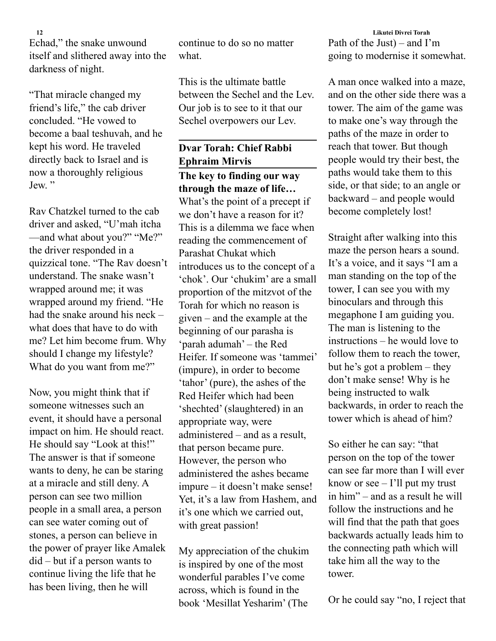Echad," the snake unwound itself and slithered away into the darkness of night.

"That miracle changed my friend's life," the cab driver concluded. "He vowed to become a baal teshuvah, and he kept his word. He traveled directly back to Israel and is now a thoroughly religious Jew."

Rav Chatzkel turned to the cab driver and asked, "U'mah itcha —and what about you?" "Me?" the driver responded in a quizzical tone. "The Rav doesn't understand. The snake wasn't wrapped around me; it was wrapped around my friend. "He had the snake around his neck – what does that have to do with me? Let him become frum. Why should I change my lifestyle? What do you want from me?"

Now, you might think that if someone witnesses such an event, it should have a personal impact on him. He should react. He should say "Look at this!" The answer is that if someone wants to deny, he can be staring at a miracle and still deny. A person can see two million people in a small area, a person can see water coming out of stones, a person can believe in the power of prayer like Amalek did – but if a person wants to continue living the life that he has been living, then he will

continue to do so no matter what.

This is the ultimate battle between the Sechel and the Lev. Our job is to see to it that our Sechel overpowers our Lev.

## **Dvar Torah: Chief Rabbi Ephraim Mirvis**

**The key to finding our way through the maze of life…**  What's the point of a precept if we don't have a reason for it? This is a dilemma we face when reading the commencement of Parashat Chukat which introduces us to the concept of a 'chok'. Our 'chukim' are a small proportion of the mitzvot of the Torah for which no reason is given – and the example at the beginning of our parasha is 'parah adumah' – the Red Heifer. If someone was 'tammei' (impure), in order to become 'tahor' (pure), the ashes of the Red Heifer which had been 'shechted' (slaughtered) in an appropriate way, were administered – and as a result, that person became pure. However, the person who administered the ashes became impure – it doesn't make sense! Yet, it's a law from Hashem, and it's one which we carried out, with great passion!

My appreciation of the chukim is inspired by one of the most wonderful parables I've come across, which is found in the book 'Mesillat Yesharim' (The

**12 Likutei Divrei Torah** Path of the Just) – and  $\Gamma$ m going to modernise it somewhat.

> A man once walked into a maze, and on the other side there was a tower. The aim of the game was to make one's way through the paths of the maze in order to reach that tower. But though people would try their best, the paths would take them to this side, or that side; to an angle or backward – and people would become completely lost!

Straight after walking into this maze the person hears a sound. It's a voice, and it says "I am a man standing on the top of the tower, I can see you with my binoculars and through this megaphone I am guiding you. The man is listening to the instructions – he would love to follow them to reach the tower, but he's got a problem – they don't make sense! Why is he being instructed to walk backwards, in order to reach the tower which is ahead of him?

So either he can say: "that person on the top of the tower can see far more than I will ever know or  $\sec - 1$ 'll put my trust in him" – and as a result he will follow the instructions and he will find that the path that goes backwards actually leads him to the connecting path which will take him all the way to the tower.

Or he could say "no, I reject that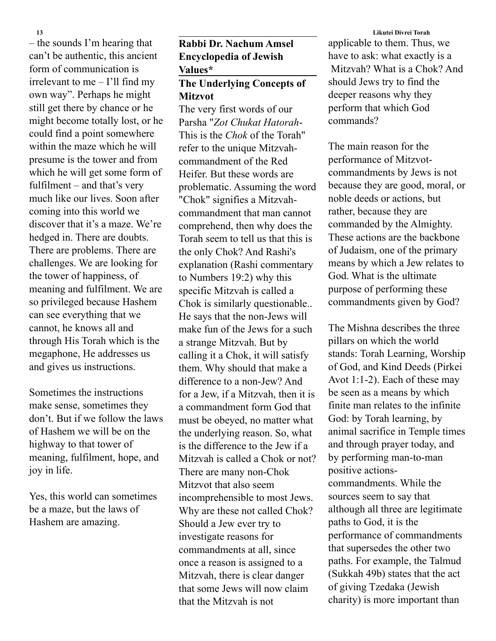– the sounds I'm hearing that can't be authentic, this ancient form of communication is irrelevant to me – I'll find my own way". Perhaps he might still get there by chance or he might become totally lost, or he could find a point somewhere within the maze which he will presume is the tower and from which he will get some form of fulfilment – and that's very much like our lives. Soon after coming into this world we discover that it's a maze. We're hedged in. There are doubts. There are problems. There are challenges. We are looking for the tower of happiness, of meaning and fulfilment. We are so privileged because Hashem can see everything that we cannot, he knows all and through His Torah which is the megaphone, He addresses us and gives us instructions.

Sometimes the instructions make sense, sometimes they don't. But if we follow the laws of Hashem we will be on the highway to that tower of meaning, fulfilment, hope, and joy in life.

Yes, this world can sometimes be a maze, but the laws of Hashem are amazing.

## **Rabbi Dr. Nachum Amsel Encyclopedia of Jewish Values\***

## **The Underlying Concepts of Mitzvot**

The very first words of our Parsha "*Zot Chukat Hatorah*-This is the *Chok* of the Torah" refer to the unique Mitzvahcommandment of the Red Heifer. But these words are problematic. Assuming the word "Chok" signifies a Mitzvahcommandment that man cannot comprehend, then why does the Torah seem to tell us that this is the only Chok? And Rashi's explanation (Rashi commentary to Numbers 19:2) why this specific Mitzvah is called a Chok is similarly questionable.. He says that the non-Jews will make fun of the Jews for a such a strange Mitzvah. But by calling it a Chok, it will satisfy them. Why should that make a difference to a non-Jew? And for a Jew, if a Mitzvah, then it is a commandment form God that must be obeyed, no matter what the underlying reason. So, what is the difference to the Jew if a Mitzvah is called a Chok or not? There are many non-Chok Mitzvot that also seem incomprehensible to most Jews. Why are these not called Chok? Should a Jew ever try to investigate reasons for commandments at all, since once a reason is assigned to a Mitzvah, there is clear danger that some Jews will now claim that the Mitzvah is not

**13 Likutei Divrei Torah** applicable to them. Thus, we have to ask: what exactly is a Mitzvah? What is a Chok? And should Jews try to find the deeper reasons why they perform that which God commands?

> The main reason for the performance of Mitzvotcommandments by Jews is not because they are good, moral, or noble deeds or actions, but rather, because they are commanded by the Almighty. These actions are the backbone of Judaism, one of the primary means by which a Jew relates to God. What is the ultimate purpose of performing these commandments given by God?

> The Mishna describes the three pillars on which the world stands: Torah Learning, Worship of God, and Kind Deeds (Pirkei Avot 1:1-2). Each of these may be seen as a means by which finite man relates to the infinite God: by Torah learning, by animal sacrifice in Temple times and through prayer today, and by performing man-to-man positive actionscommandments. While the sources seem to say that although all three are legitimate paths to God, it is the performance of commandments that supersedes the other two paths. For example, the Talmud (Sukkah 49b) states that the act of giving Tzedaka (Jewish charity) is more important than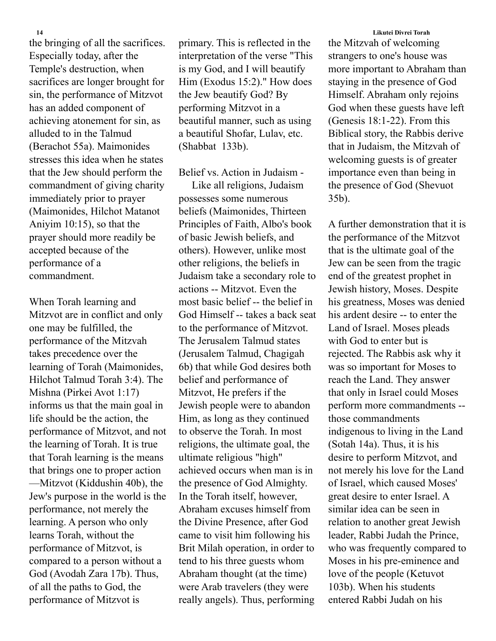the bringing of all the sacrifices. Especially today, after the Temple's destruction, when sacrifices are longer brought for sin, the performance of Mitzvot has an added component of achieving atonement for sin, as alluded to in the Talmud (Berachot 55a). Maimonides stresses this idea when he states that the Jew should perform the commandment of giving charity immediately prior to prayer (Maimonides, Hilchot Matanot Aniyim 10:15), so that the prayer should more readily be accepted because of the performance of a commandment.

When Torah learning and Mitzvot are in conflict and only one may be fulfilled, the performance of the Mitzvah takes precedence over the learning of Torah (Maimonides, Hilchot Talmud Torah 3:4). The Mishna (Pirkei Avot 1:17) informs us that the main goal in life should be the action, the performance of Mitzvot, and not the learning of Torah. It is true that Torah learning is the means that brings one to proper action —Mitzvot (Kiddushin 40b), the Jew's purpose in the world is the performance, not merely the learning. A person who only learns Torah, without the performance of Mitzvot, is compared to a person without a God (Avodah Zara 17b). Thus, of all the paths to God, the performance of Mitzvot is

primary. This is reflected in the interpretation of the verse "This is my God, and I will beautify Him (Exodus 15:2)." How does the Jew beautify God? By performing Mitzvot in a beautiful manner, such as using a beautiful Shofar, Lulav, etc. (Shabbat 133b).

Belief vs. Action in Judaism -

 Like all religions, Judaism possesses some numerous beliefs (Maimonides, Thirteen Principles of Faith, Albo's book of basic Jewish beliefs, and others). However, unlike most other religions, the beliefs in Judaism take a secondary role to actions -- Mitzvot. Even the most basic belief -- the belief in God Himself -- takes a back seat to the performance of Mitzvot. The Jerusalem Talmud states (Jerusalem Talmud, Chagigah 6b) that while God desires both belief and performance of Mitzvot, He prefers if the Jewish people were to abandon Him, as long as they continued to observe the Torah. In most religions, the ultimate goal, the ultimate religious "high" achieved occurs when man is in the presence of God Almighty. In the Torah itself, however, Abraham excuses himself from the Divine Presence, after God came to visit him following his Brit Milah operation, in order to tend to his three guests whom Abraham thought (at the time) were Arab travelers (they were really angels). Thus, performing

**14 Likutei Divrei Torah** the Mitzvah of welcoming strangers to one's house was more important to Abraham than staying in the presence of God Himself. Abraham only rejoins God when these guests have left (Genesis 18:1-22). From this Biblical story, the Rabbis derive that in Judaism, the Mitzvah of welcoming guests is of greater importance even than being in the presence of God (Shevuot 35b).

> A further demonstration that it is the performance of the Mitzvot that is the ultimate goal of the Jew can be seen from the tragic end of the greatest prophet in Jewish history, Moses. Despite his greatness, Moses was denied his ardent desire -- to enter the Land of Israel. Moses pleads with God to enter but is rejected. The Rabbis ask why it was so important for Moses to reach the Land. They answer that only in Israel could Moses perform more commandments - those commandments indigenous to living in the Land (Sotah 14a). Thus, it is his desire to perform Mitzvot, and not merely his love for the Land of Israel, which caused Moses' great desire to enter Israel. A similar idea can be seen in relation to another great Jewish leader, Rabbi Judah the Prince, who was frequently compared to Moses in his pre-eminence and love of the people (Ketuvot 103b). When his students entered Rabbi Judah on his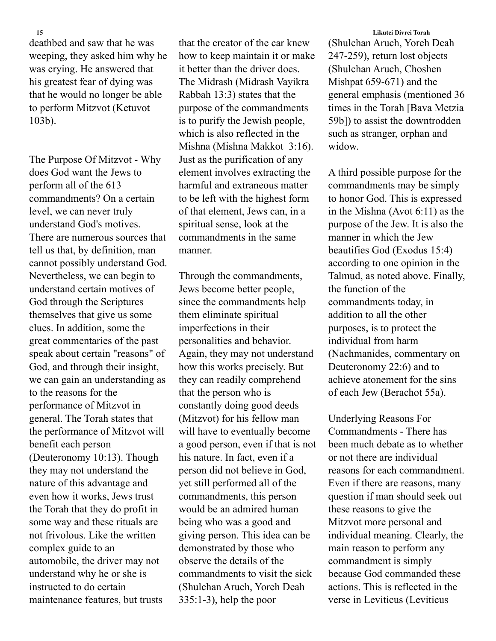deathbed and saw that he was weeping, they asked him why he was crying. He answered that his greatest fear of dying was that he would no longer be able to perform Mitzvot (Ketuvot 103b).

The Purpose Of Mitzvot - Why does God want the Jews to perform all of the 613 commandments? On a certain level, we can never truly understand God's motives. There are numerous sources that tell us that, by definition, man cannot possibly understand God. Nevertheless, we can begin to understand certain motives of God through the Scriptures themselves that give us some clues. In addition, some the great commentaries of the past speak about certain "reasons" of God, and through their insight, we can gain an understanding as to the reasons for the performance of Mitzvot in general. The Torah states that the performance of Mitzvot will benefit each person (Deuteronomy 10:13). Though they may not understand the nature of this advantage and even how it works, Jews trust the Torah that they do profit in some way and these rituals are not frivolous. Like the written complex guide to an automobile, the driver may not understand why he or she is instructed to do certain maintenance features, but trusts

that the creator of the car knew how to keep maintain it or make it better than the driver does. The Midrash (Midrash Vayikra Rabbah 13:3) states that the purpose of the commandments is to purify the Jewish people, which is also reflected in the Mishna (Mishna Makkot 3:16). Just as the purification of any element involves extracting the harmful and extraneous matter to be left with the highest form of that element, Jews can, in a spiritual sense, look at the commandments in the same manner.

Through the commandments, Jews become better people, since the commandments help them eliminate spiritual imperfections in their personalities and behavior. Again, they may not understand how this works precisely. But they can readily comprehend that the person who is constantly doing good deeds (Mitzvot) for his fellow man will have to eventually become a good person, even if that is not his nature. In fact, even if a person did not believe in God, yet still performed all of the commandments, this person would be an admired human being who was a good and giving person. This idea can be demonstrated by those who observe the details of the commandments to visit the sick (Shulchan Aruch, Yoreh Deah 335:1-3), help the poor

**15 Likutei Divrei Torah** (Shulchan Aruch, Yoreh Deah 247-259), return lost objects (Shulchan Aruch, Choshen Mishpat 659-671) and the general emphasis (mentioned 36 times in the Torah [Bava Metzia 59b]) to assist the downtrodden such as stranger, orphan and widow.

> A third possible purpose for the commandments may be simply to honor God. This is expressed in the Mishna (Avot 6:11) as the purpose of the Jew. It is also the manner in which the Jew beautifies God (Exodus 15:4) according to one opinion in the Talmud, as noted above. Finally, the function of the commandments today, in addition to all the other purposes, is to protect the individual from harm (Nachmanides, commentary on Deuteronomy 22:6) and to achieve atonement for the sins of each Jew (Berachot 55a).

> Underlying Reasons For Commandments - There has been much debate as to whether or not there are individual reasons for each commandment. Even if there are reasons, many question if man should seek out these reasons to give the Mitzvot more personal and individual meaning. Clearly, the main reason to perform any commandment is simply because God commanded these actions. This is reflected in the verse in Leviticus (Leviticus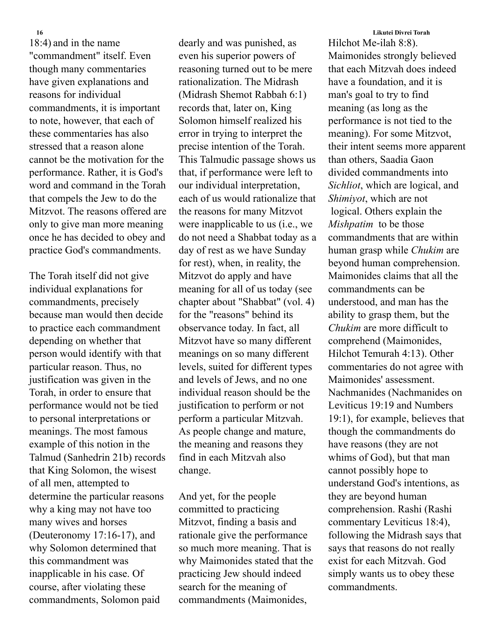18:4) and in the name "commandment" itself. Even though many commentaries have given explanations and reasons for individual commandments, it is important to note, however, that each of these commentaries has also stressed that a reason alone cannot be the motivation for the performance. Rather, it is God's word and command in the Torah that compels the Jew to do the Mitzvot. The reasons offered are only to give man more meaning once he has decided to obey and practice God's commandments.

The Torah itself did not give individual explanations for commandments, precisely because man would then decide to practice each commandment depending on whether that person would identify with that particular reason. Thus, no justification was given in the Torah, in order to ensure that performance would not be tied to personal interpretations or meanings. The most famous example of this notion in the Talmud (Sanhedrin 21b) records that King Solomon, the wisest of all men, attempted to determine the particular reasons why a king may not have too many wives and horses (Deuteronomy 17:16-17), and why Solomon determined that this commandment was inapplicable in his case. Of course, after violating these commandments, Solomon paid

dearly and was punished, as even his superior powers of reasoning turned out to be mere rationalization. The Midrash (Midrash Shemot Rabbah 6:1) records that, later on, King Solomon himself realized his error in trying to interpret the precise intention of the Torah. This Talmudic passage shows us that, if performance were left to our individual interpretation, each of us would rationalize that the reasons for many Mitzvot were inapplicable to us (i.e., we do not need a Shabbat today as a day of rest as we have Sunday for rest), when, in reality, the Mitzvot do apply and have meaning for all of us today (see chapter about "Shabbat" (vol. 4) for the "reasons" behind its observance today. In fact, all Mitzvot have so many different meanings on so many different levels, suited for different types and levels of Jews, and no one individual reason should be the justification to perform or not perform a particular Mitzvah. As people change and mature, the meaning and reasons they find in each Mitzvah also change.

And yet, for the people committed to practicing Mitzvot, finding a basis and rationale give the performance so much more meaning. That is why Maimonides stated that the practicing Jew should indeed search for the meaning of commandments (Maimonides,

**16 Likutei Divrei Torah** Hilchot Me-ilah 8:8). Maimonides strongly believed that each Mitzvah does indeed have a foundation, and it is man's goal to try to find meaning (as long as the performance is not tied to the meaning). For some Mitzvot, their intent seems more apparent than others, Saadia Gaon divided commandments into *Sichliot*, which are logical, and *Shimiyot*, which are not logical. Others explain the *Mishpatim* to be those commandments that are within human grasp while *Chukim* are beyond human comprehension. Maimonides claims that all the commandments can be understood, and man has the ability to grasp them, but the *Chukim* are more difficult to comprehend (Maimonides, Hilchot Temurah 4:13). Other commentaries do not agree with Maimonides' assessment. Nachmanides (Nachmanides on Leviticus 19:19 and Numbers 19:1), for example, believes that though the commandments do have reasons (they are not whims of God), but that man cannot possibly hope to understand God's intentions, as they are beyond human comprehension. Rashi (Rashi commentary Leviticus 18:4), following the Midrash says that says that reasons do not really exist for each Mitzvah. God simply wants us to obey these commandments.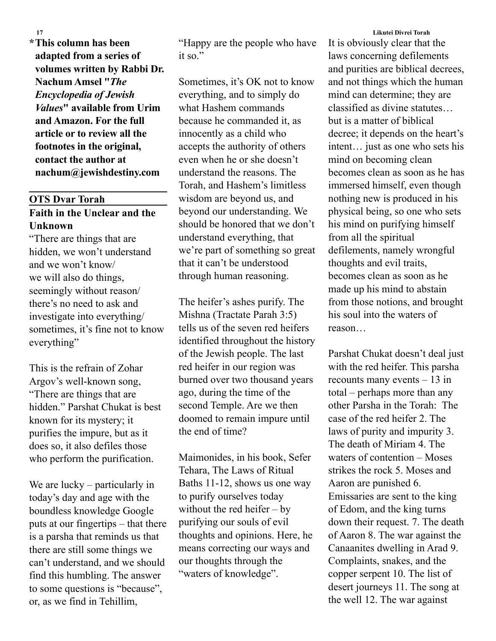**\*This column has been adapted from a series of volumes written by Rabbi Dr. Nachum Amsel "***The Encyclopedia of Jewish Values***" available from Urim and Amazon. For the full article or to review all the footnotes in the original, contact the author at [nachum@jewishdestiny.com](mailto:nachum@jewishdestiny.com)** 

## **OTS Dvar Torah Faith in the Unclear and the Unknown**

"There are things that are hidden, we won't understand and we won't know/ we will also do things, seemingly without reason/ there's no need to ask and investigate into everything/ sometimes, it's fine not to know everything"

This is the refrain of Zohar Argov's well-known song, "There are things that are hidden." Parshat Chukat is best known for its mystery; it purifies the impure, but as it does so, it also defiles those who perform the purification.

We are lucky – particularly in today's day and age with the boundless knowledge Google puts at our fingertips – that there is a parsha that reminds us that there are still some things we can't understand, and we should find this humbling. The answer to some questions is "because", or, as we find in Tehillim,

"Happy are the people who have it so."

Sometimes, it's OK not to know everything, and to simply do what Hashem commands because he commanded it, as innocently as a child who accepts the authority of others even when he or she doesn't understand the reasons. The Torah, and Hashem's limitless wisdom are beyond us, and beyond our understanding. We should be honored that we don't understand everything, that we're part of something so great that it can't be understood through human reasoning.

The heifer's ashes purify. The Mishna (Tractate Parah 3:5) tells us of the seven red heifers identified throughout the history of the Jewish people. The last red heifer in our region was burned over two thousand years ago, during the time of the second Temple. Are we then doomed to remain impure until the end of time?

Maimonides, in his book, Sefer Tehara, The Laws of Ritual Baths 11-12, shows us one way to purify ourselves today without the red heifer – by purifying our souls of evil thoughts and opinions. Here, he means correcting our ways and our thoughts through the "waters of knowledge".

**17 Likutei Divrei Torah** It is obviously clear that the laws concerning defilements and purities are biblical decrees, and not things which the human mind can determine; they are classified as divine statutes… but is a matter of biblical decree; it depends on the heart's intent… just as one who sets his mind on becoming clean becomes clean as soon as he has immersed himself, even though nothing new is produced in his physical being, so one who sets his mind on purifying himself from all the spiritual defilements, namely wrongful thoughts and evil traits, becomes clean as soon as he made up his mind to abstain from those notions, and brought his soul into the waters of reason…

> Parshat Chukat doesn't deal just with the red heifer. This parsha recounts many events – 13 in total – perhaps more than any other Parsha in the Torah: The case of the red heifer 2. The laws of purity and impurity 3. The death of Miriam 4. The waters of contention – Moses strikes the rock 5. Moses and Aaron are punished 6. Emissaries are sent to the king of Edom, and the king turns down their request. 7. The death of Aaron 8. The war against the Canaanites dwelling in Arad 9. Complaints, snakes, and the copper serpent 10. The list of desert journeys 11. The song at the well 12. The war against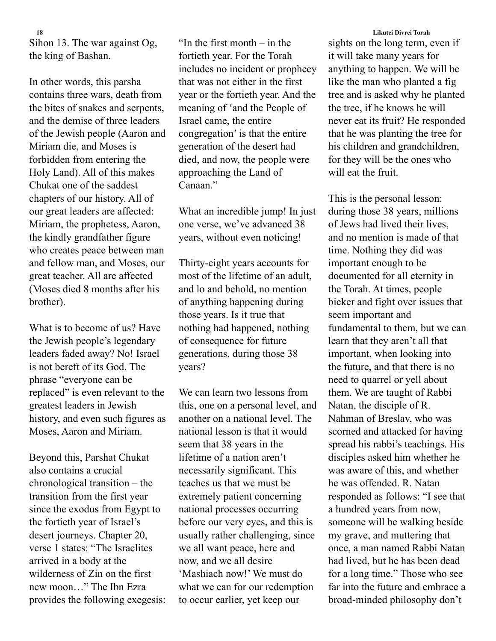Sihon 13. The war against Og, the king of Bashan.

In other words, this parsha contains three wars, death from the bites of snakes and serpents, and the demise of three leaders of the Jewish people (Aaron and Miriam die, and Moses is forbidden from entering the Holy Land). All of this makes Chukat one of the saddest chapters of our history. All of our great leaders are affected: Miriam, the prophetess, Aaron, the kindly grandfather figure who creates peace between man and fellow man, and Moses, our great teacher. All are affected (Moses died 8 months after his brother).

What is to become of us? Have the Jewish people's legendary leaders faded away? No! Israel is not bereft of its God. The phrase "everyone can be replaced" is even relevant to the greatest leaders in Jewish history, and even such figures as Moses, Aaron and Miriam.

Beyond this, Parshat Chukat also contains a crucial chronological transition – the transition from the first year since the exodus from Egypt to the fortieth year of Israel's desert journeys. Chapter 20, verse 1 states: "The Israelites arrived in a body at the wilderness of Zin on the first new moon…" The Ibn Ezra provides the following exegesis:

"In the first month – in the fortieth year. For the Torah includes no incident or prophecy that was not either in the first year or the fortieth year. And the meaning of 'and the People of Israel came, the entire congregation' is that the entire generation of the desert had died, and now, the people were approaching the Land of Canaan."

What an incredible jump! In just one verse, we've advanced 38 years, without even noticing!

Thirty-eight years accounts for most of the lifetime of an adult, and lo and behold, no mention of anything happening during those years. Is it true that nothing had happened, nothing of consequence for future generations, during those 38 years?

We can learn two lessons from this, one on a personal level, and another on a national level. The national lesson is that it would seem that 38 years in the lifetime of a nation aren't necessarily significant. This teaches us that we must be extremely patient concerning national processes occurring before our very eyes, and this is usually rather challenging, since we all want peace, here and now, and we all desire 'Mashiach now!' We must do what we can for our redemption to occur earlier, yet keep our

**18 Likutei Divrei Torah** sights on the long term, even if it will take many years for anything to happen. We will be like the man who planted a fig tree and is asked why he planted the tree, if he knows he will never eat its fruit? He responded that he was planting the tree for his children and grandchildren, for they will be the ones who will eat the fruit.

> This is the personal lesson: during those 38 years, millions of Jews had lived their lives, and no mention is made of that time. Nothing they did was important enough to be documented for all eternity in the Torah. At times, people bicker and fight over issues that seem important and fundamental to them, but we can learn that they aren't all that important, when looking into the future, and that there is no need to quarrel or yell about them. We are taught of Rabbi Natan, the disciple of R. Nahman of Breslav, who was scorned and attacked for having spread his rabbi's teachings. His disciples asked him whether he was aware of this, and whether he was offended. R. Natan responded as follows: "I see that a hundred years from now, someone will be walking beside my grave, and muttering that once, a man named Rabbi Natan had lived, but he has been dead for a long time." Those who see far into the future and embrace a broad-minded philosophy don't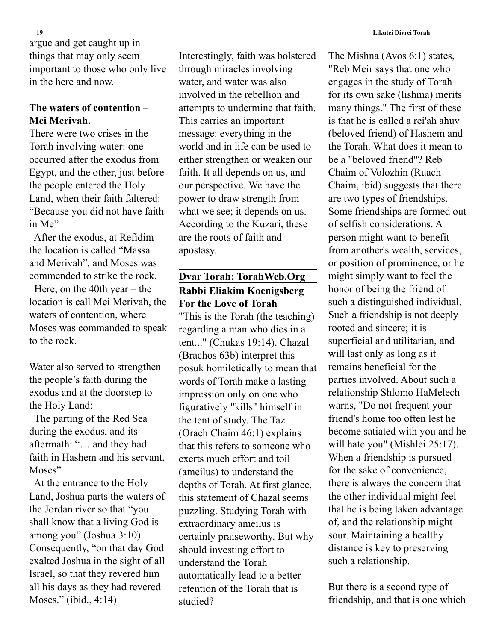argue and get caught up in things that may only seem important to those who only live in the here and now.

## **The waters of contention – Mei Merivah.**

There were two crises in the Torah involving water: one occurred after the exodus from Egypt, and the other, just before the people entered the Holy Land, when their faith faltered: "Because you did not have faith in Me"

 After the exodus, at Refidim – the location is called "Massa and Merivah", and Moses was commended to strike the rock.

 Here, on the 40th year – the location is call Mei Merivah, the waters of contention, where Moses was commanded to speak to the rock.

Water also served to strengthen the people's faith during the exodus and at the doorstep to the Holy Land:

 The parting of the Red Sea during the exodus, and its aftermath: "… and they had faith in Hashem and his servant, Moses"

 At the entrance to the Holy Land, Joshua parts the waters of the Jordan river so that "you shall know that a living God is among you" (Joshua 3:10). Consequently, "on that day God exalted Joshua in the sight of all Israel, so that they revered him all his days as they had revered Moses." (ibid., 4:14)

Interestingly, faith was bolstered through miracles involving water, and water was also involved in the rebellion and attempts to undermine that faith. This carries an important message: everything in the world and in life can be used to either strengthen or weaken our faith. It all depends on us, and our perspective. We have the power to draw strength from what we see; it depends on us. According to the Kuzari, these are the roots of faith and apostasy.

## **Dvar Torah: TorahWeb.Org Rabbi Eliakim Koenigsberg For the Love of Torah**

"This is the Torah (the teaching) regarding a man who dies in a tent..." (Chukas 19:14). Chazal (Brachos 63b) interpret this posuk homiletically to mean that words of Torah make a lasting impression only on one who figuratively "kills" himself in the tent of study. The Taz (Orach Chaim 46:1) explains that this refers to someone who exerts much effort and toil (ameilus) to understand the depths of Torah. At first glance, this statement of Chazal seems puzzling. Studying Torah with extraordinary ameilus is certainly praiseworthy. But why should investing effort to understand the Torah automatically lead to a better retention of the Torah that is studied?

The Mishna (Avos 6:1) states, "Reb Meir says that one who engages in the study of Torah for its own sake (lishma) merits many things." The first of these is that he is called a rei'ah ahuv (beloved friend) of Hashem and the Torah. What does it mean to be a "beloved friend"? Reb Chaim of Volozhin (Ruach Chaim, ibid) suggests that there are two types of friendships. Some friendships are formed out of selfish considerations. A person might want to benefit from another's wealth, services, or position of prominence, or he might simply want to feel the honor of being the friend of such a distinguished individual. Such a friendship is not deeply rooted and sincere; it is superficial and utilitarian, and will last only as long as it remains beneficial for the parties involved. About such a relationship Shlomo HaMelech warns, "Do not frequent your friend's home too often lest he become satiated with you and he will hate you" (Mishlei 25:17). When a friendship is pursued for the sake of convenience, there is always the concern that the other individual might feel that he is being taken advantage of, and the relationship might sour. Maintaining a healthy distance is key to preserving such a relationship.

But there is a second type of friendship, and that is one which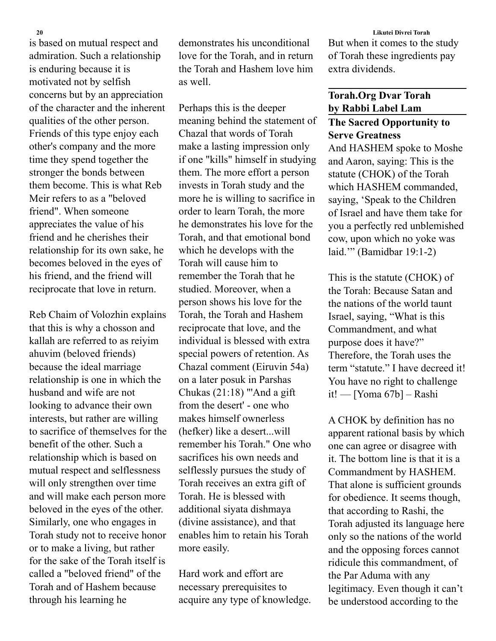is based on mutual respect and admiration. Such a relationship is enduring because it is motivated not by selfish concerns but by an appreciation of the character and the inherent qualities of the other person. Friends of this type enjoy each other's company and the more time they spend together the stronger the bonds between them become. This is what Reb Meir refers to as a "beloved friend". When someone appreciates the value of his friend and he cherishes their relationship for its own sake, he becomes beloved in the eyes of his friend, and the friend will reciprocate that love in return.

Reb Chaim of Volozhin explains that this is why a chosson and kallah are referred to as reiyim ahuvim (beloved friends) because the ideal marriage relationship is one in which the husband and wife are not looking to advance their own interests, but rather are willing to sacrifice of themselves for the benefit of the other. Such a relationship which is based on mutual respect and selflessness will only strengthen over time and will make each person more beloved in the eyes of the other. Similarly, one who engages in Torah study not to receive honor or to make a living, but rather for the sake of the Torah itself is called a "beloved friend" of the Torah and of Hashem because through his learning he

demonstrates his unconditional love for the Torah, and in return the Torah and Hashem love him as well.

Perhaps this is the deeper meaning behind the statement of Chazal that words of Torah make a lasting impression only if one "kills" himself in studying them. The more effort a person invests in Torah study and the more he is willing to sacrifice in order to learn Torah, the more he demonstrates his love for the Torah, and that emotional bond which he develops with the Torah will cause him to remember the Torah that he studied. Moreover, when a person shows his love for the Torah, the Torah and Hashem reciprocate that love, and the individual is blessed with extra special powers of retention. As Chazal comment (Eiruvin 54a) on a later posuk in Parshas Chukas  $(21:18)$  "'And a gift from the desert' - one who makes himself ownerless (hefker) like a desert...will remember his Torah." One who sacrifices his own needs and selflessly pursues the study of Torah receives an extra gift of Torah. He is blessed with additional siyata dishmaya (divine assistance), and that enables him to retain his Torah more easily.

Hard work and effort are necessary prerequisites to acquire any type of knowledge.

**20 Likutei Divrei Torah** But when it comes to the study of Torah these ingredients pay extra dividends.

## **Torah.Org Dvar Torah by Rabbi Label Lam The Sacred Opportunity to Serve Greatness**

And HASHEM spoke to Moshe and Aaron, saying: This is the statute (CHOK) of the Torah which HASHEM commanded, saying, 'Speak to the Children of Israel and have them take for you a perfectly red unblemished cow, upon which no yoke was laid.'" (Bamidbar 19:1-2)

This is the statute (CHOK) of the Torah: Because Satan and the nations of the world taunt Israel, saying, "What is this Commandment, and what purpose does it have?" Therefore, the Torah uses the term "statute." I have decreed it! You have no right to challenge it! — [Yoma 67b] – Rashi

A CHOK by definition has no apparent rational basis by which one can agree or disagree with it. The bottom line is that it is a Commandment by HASHEM. That alone is sufficient grounds for obedience. It seems though, that according to Rashi, the Torah adjusted its language here only so the nations of the world and the opposing forces cannot ridicule this commandment, of the Par Aduma with any legitimacy. Even though it can't be understood according to the